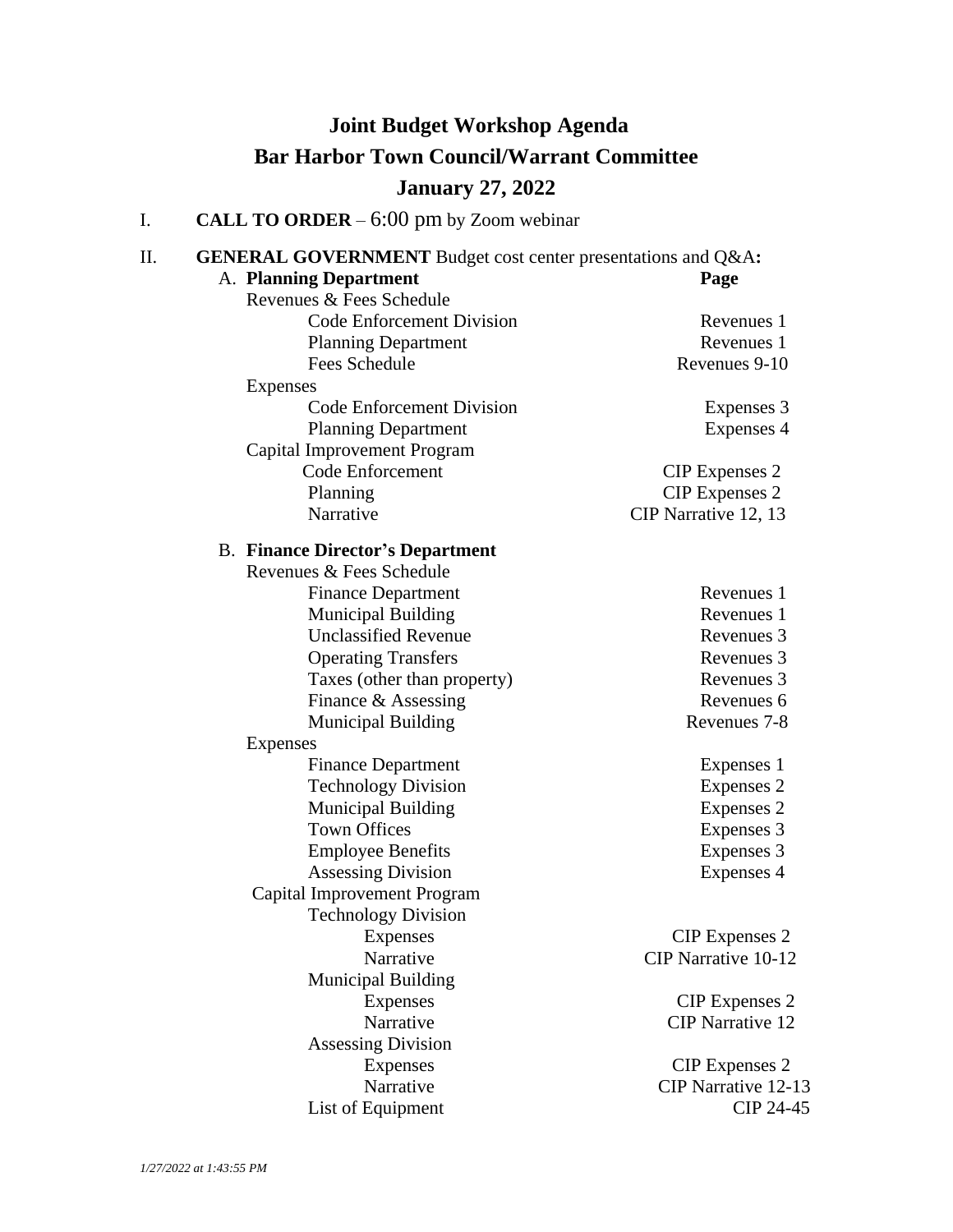## **Joint Budget Workshop Agenda Bar Harbor Town Council/Warrant Committee January 27, 2022**

I. **CALL TO ORDER** – 6:00 pm by Zoom webinar

| Π.<br><b>GENERAL GOVERNMENT</b> Budget cost center presentations and Q&A: |                         |  |
|---------------------------------------------------------------------------|-------------------------|--|
| A. Planning Department                                                    | Page                    |  |
| Revenues & Fees Schedule                                                  |                         |  |
| Code Enforcement Division                                                 | Revenues 1              |  |
| <b>Planning Department</b>                                                | Revenues 1              |  |
| <b>Fees Schedule</b>                                                      | Revenues 9-10           |  |
| Expenses                                                                  |                         |  |
| Code Enforcement Division                                                 | Expenses 3              |  |
| <b>Planning Department</b>                                                | Expenses 4              |  |
| Capital Improvement Program                                               |                         |  |
| Code Enforcement                                                          | <b>CIP</b> Expenses 2   |  |
| Planning                                                                  | <b>CIP</b> Expenses 2   |  |
| Narrative                                                                 | CIP Narrative 12, 13    |  |
| <b>B. Finance Director's Department</b>                                   |                         |  |
| Revenues & Fees Schedule                                                  |                         |  |
| <b>Finance Department</b>                                                 | Revenues 1              |  |
| <b>Municipal Building</b>                                                 | Revenues 1              |  |
| <b>Unclassified Revenue</b>                                               | Revenues 3              |  |
| <b>Operating Transfers</b>                                                | Revenues 3              |  |
| Taxes (other than property)                                               | Revenues 3              |  |
| Finance & Assessing                                                       | Revenues 6              |  |
| <b>Municipal Building</b>                                                 | Revenues 7-8            |  |
| <b>Expenses</b>                                                           |                         |  |
| <b>Finance Department</b>                                                 | Expenses 1              |  |
| <b>Technology Division</b>                                                | Expenses 2              |  |
| <b>Municipal Building</b>                                                 | Expenses 2              |  |
| <b>Town Offices</b>                                                       | Expenses 3              |  |
| <b>Employee Benefits</b>                                                  | Expenses 3              |  |
| <b>Assessing Division</b>                                                 | Expenses 4              |  |
| Capital Improvement Program                                               |                         |  |
| <b>Technology Division</b>                                                |                         |  |
| Expenses                                                                  | <b>CIP</b> Expenses 2   |  |
| Narrative                                                                 | CIP Narrative 10-12     |  |
| <b>Municipal Building</b>                                                 |                         |  |
| <b>Expenses</b>                                                           | <b>CIP</b> Expenses 2   |  |
| Narrative                                                                 | <b>CIP</b> Narrative 12 |  |
| <b>Assessing Division</b>                                                 |                         |  |
| <b>Expenses</b>                                                           | <b>CIP</b> Expenses 2   |  |
| Narrative                                                                 | CIP Narrative 12-13     |  |
| List of Equipment                                                         | CIP 24-45               |  |